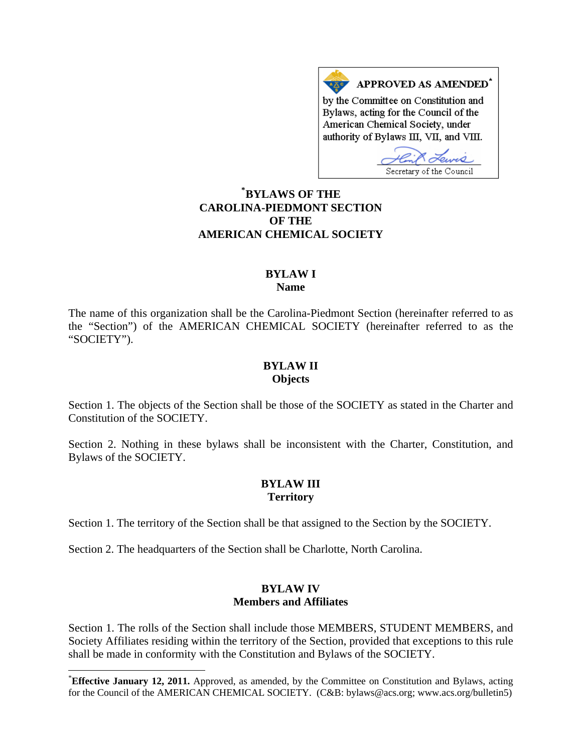APPROVED AS AMENDED<sup>\*</sup> by the Committee on Constitution and Bylaws, acting for the Council of the American Chemical Society, under authority of Bylaws III, VII, and VIII.

Secretary of the Council

# **[\\*](#page-0-0) BYLAWS OF THE CAROLINA-PIEDMONT SECTION OF THE AMERICAN CHEMICAL SOCIETY**

#### **BYLAW I Name**

The name of this organization shall be the Carolina-Piedmont Section (hereinafter referred to as the "Section") of the AMERICAN CHEMICAL SOCIETY (hereinafter referred to as the "SOCIETY").

#### **BYLAW II Objects**

Section 1. The objects of the Section shall be those of the SOCIETY as stated in the Charter and Constitution of the SOCIETY.

Section 2. Nothing in these bylaws shall be inconsistent with the Charter, Constitution, and Bylaws of the SOCIETY.

## **BYLAW III Territory**

Section 1. The territory of the Section shall be that assigned to the Section by the SOCIETY.

Section 2. The headquarters of the Section shall be Charlotte, North Carolina.

l

### **BYLAW IV Members and Affiliates**

Section 1. The rolls of the Section shall include those MEMBERS, STUDENT MEMBERS, and Society Affiliates residing within the territory of the Section, provided that exceptions to this rule shall be made in conformity with the Constitution and Bylaws of the SOCIETY.

<span id="page-0-0"></span><sup>\*</sup> **Effective January 12, 2011.** Approved, as amended, by the Committee on Constitution and Bylaws, acting for the Council of the AMERICAN CHEMICAL SOCIETY. (C&B: bylaws@acs.org; www.acs.org/bulletin5)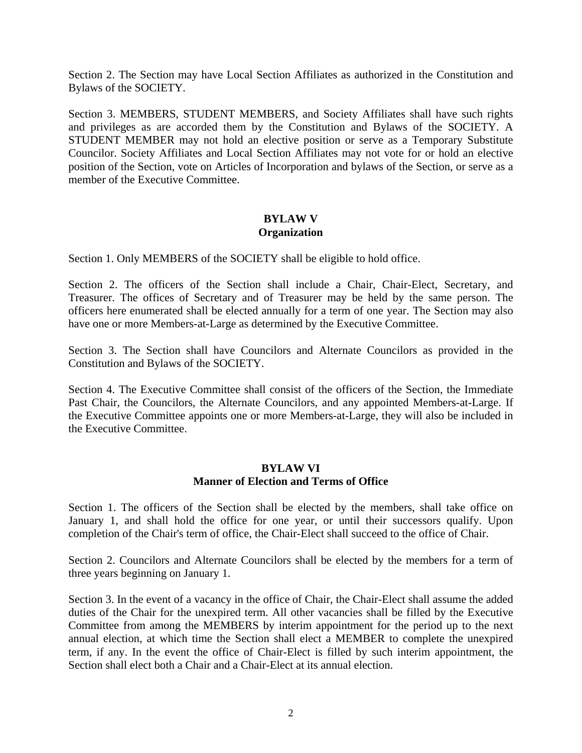Section 2. The Section may have Local Section Affiliates as authorized in the Constitution and Bylaws of the SOCIETY.

Section 3. MEMBERS, STUDENT MEMBERS, and Society Affiliates shall have such rights and privileges as are accorded them by the Constitution and Bylaws of the SOCIETY. A STUDENT MEMBER may not hold an elective position or serve as a Temporary Substitute Councilor. Society Affiliates and Local Section Affiliates may not vote for or hold an elective position of the Section, vote on Articles of Incorporation and bylaws of the Section, or serve as a member of the Executive Committee.

# **BYLAW V Organization**

Section 1. Only MEMBERS of the SOCIETY shall be eligible to hold office.

Section 2. The officers of the Section shall include a Chair, Chair-Elect, Secretary, and Treasurer. The offices of Secretary and of Treasurer may be held by the same person. The officers here enumerated shall be elected annually for a term of one year. The Section may also have one or more Members-at-Large as determined by the Executive Committee.

Section 3. The Section shall have Councilors and Alternate Councilors as provided in the Constitution and Bylaws of the SOCIETY.

Section 4. The Executive Committee shall consist of the officers of the Section, the Immediate Past Chair, the Councilors, the Alternate Councilors, and any appointed Members-at-Large. If the Executive Committee appoints one or more Members-at-Large, they will also be included in the Executive Committee.

## **BYLAW VI Manner of Election and Terms of Office**

Section 1. The officers of the Section shall be elected by the members, shall take office on January 1, and shall hold the office for one year, or until their successors qualify. Upon completion of the Chair's term of office, the Chair-Elect shall succeed to the office of Chair.

Section 2. Councilors and Alternate Councilors shall be elected by the members for a term of three years beginning on January 1.

Section 3. In the event of a vacancy in the office of Chair, the Chair-Elect shall assume the added duties of the Chair for the unexpired term. All other vacancies shall be filled by the Executive Committee from among the MEMBERS by interim appointment for the period up to the next annual election, at which time the Section shall elect a MEMBER to complete the unexpired term, if any. In the event the office of Chair-Elect is filled by such interim appointment, the Section shall elect both a Chair and a Chair-Elect at its annual election.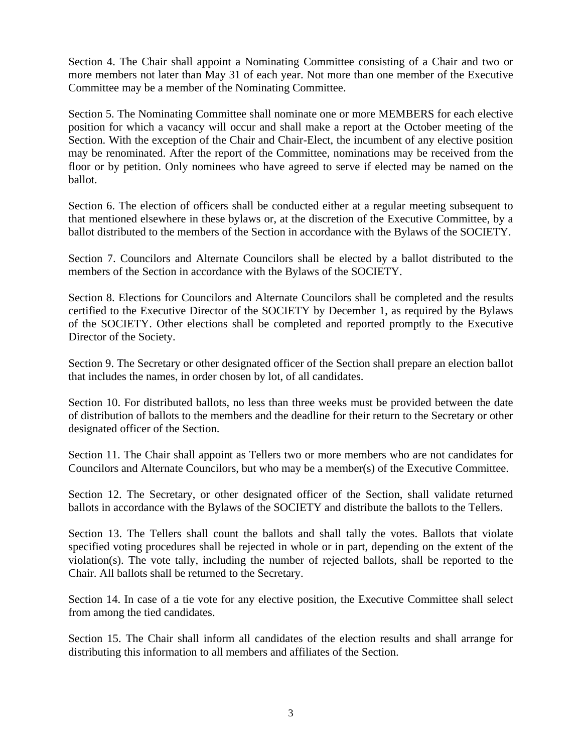Section 4. The Chair shall appoint a Nominating Committee consisting of a Chair and two or more members not later than May 31 of each year. Not more than one member of the Executive Committee may be a member of the Nominating Committee.

Section 5. The Nominating Committee shall nominate one or more MEMBERS for each elective position for which a vacancy will occur and shall make a report at the October meeting of the Section. With the exception of the Chair and Chair-Elect, the incumbent of any elective position may be renominated. After the report of the Committee, nominations may be received from the floor or by petition. Only nominees who have agreed to serve if elected may be named on the ballot.

Section 6. The election of officers shall be conducted either at a regular meeting subsequent to that mentioned elsewhere in these bylaws or, at the discretion of the Executive Committee, by a ballot distributed to the members of the Section in accordance with the Bylaws of the SOCIETY.

Section 7. Councilors and Alternate Councilors shall be elected by a ballot distributed to the members of the Section in accordance with the Bylaws of the SOCIETY.

Section 8. Elections for Councilors and Alternate Councilors shall be completed and the results certified to the Executive Director of the SOCIETY by December 1, as required by the Bylaws of the SOCIETY. Other elections shall be completed and reported promptly to the Executive Director of the Society.

Section 9. The Secretary or other designated officer of the Section shall prepare an election ballot that includes the names, in order chosen by lot, of all candidates.

Section 10. For distributed ballots, no less than three weeks must be provided between the date of distribution of ballots to the members and the deadline for their return to the Secretary or other designated officer of the Section.

Section 11. The Chair shall appoint as Tellers two or more members who are not candidates for Councilors and Alternate Councilors, but who may be a member(s) of the Executive Committee.

Section 12. The Secretary, or other designated officer of the Section, shall validate returned ballots in accordance with the Bylaws of the SOCIETY and distribute the ballots to the Tellers.

Section 13. The Tellers shall count the ballots and shall tally the votes. Ballots that violate specified voting procedures shall be rejected in whole or in part, depending on the extent of the violation(s). The vote tally, including the number of rejected ballots, shall be reported to the Chair. All ballots shall be returned to the Secretary.

Section 14. In case of a tie vote for any elective position, the Executive Committee shall select from among the tied candidates.

Section 15. The Chair shall inform all candidates of the election results and shall arrange for distributing this information to all members and affiliates of the Section.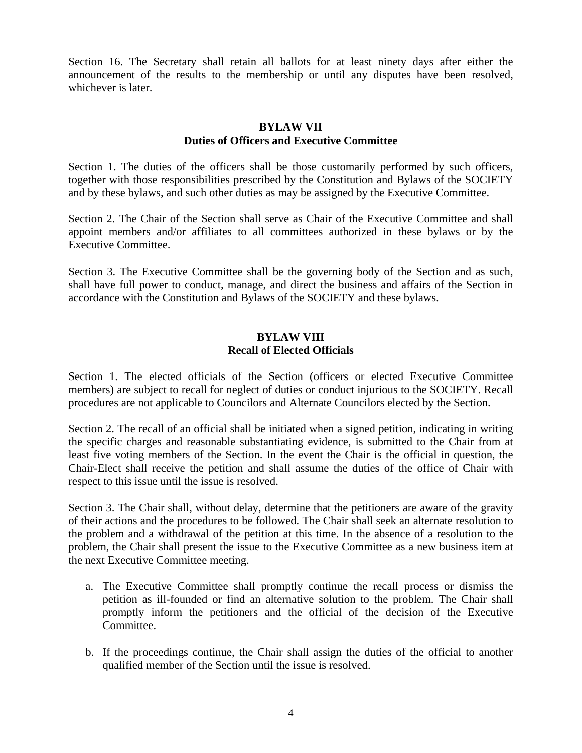Section 16. The Secretary shall retain all ballots for at least ninety days after either the announcement of the results to the membership or until any disputes have been resolved, whichever is later.

### **BYLAW VII Duties of Officers and Executive Committee**

Section 1. The duties of the officers shall be those customarily performed by such officers, together with those responsibilities prescribed by the Constitution and Bylaws of the SOCIETY and by these bylaws, and such other duties as may be assigned by the Executive Committee.

Section 2. The Chair of the Section shall serve as Chair of the Executive Committee and shall appoint members and/or affiliates to all committees authorized in these bylaws or by the Executive Committee.

Section 3. The Executive Committee shall be the governing body of the Section and as such, shall have full power to conduct, manage, and direct the business and affairs of the Section in accordance with the Constitution and Bylaws of the SOCIETY and these bylaws.

## **BYLAW VIII Recall of Elected Officials**

Section 1. The elected officials of the Section (officers or elected Executive Committee members) are subject to recall for neglect of duties or conduct injurious to the SOCIETY. Recall procedures are not applicable to Councilors and Alternate Councilors elected by the Section.

Section 2. The recall of an official shall be initiated when a signed petition, indicating in writing the specific charges and reasonable substantiating evidence, is submitted to the Chair from at least five voting members of the Section. In the event the Chair is the official in question, the Chair-Elect shall receive the petition and shall assume the duties of the office of Chair with respect to this issue until the issue is resolved.

Section 3. The Chair shall, without delay, determine that the petitioners are aware of the gravity of their actions and the procedures to be followed. The Chair shall seek an alternate resolution to the problem and a withdrawal of the petition at this time. In the absence of a resolution to the problem, the Chair shall present the issue to the Executive Committee as a new business item at the next Executive Committee meeting.

- a. The Executive Committee shall promptly continue the recall process or dismiss the petition as ill-founded or find an alternative solution to the problem. The Chair shall promptly inform the petitioners and the official of the decision of the Executive Committee.
- b. If the proceedings continue, the Chair shall assign the duties of the official to another qualified member of the Section until the issue is resolved.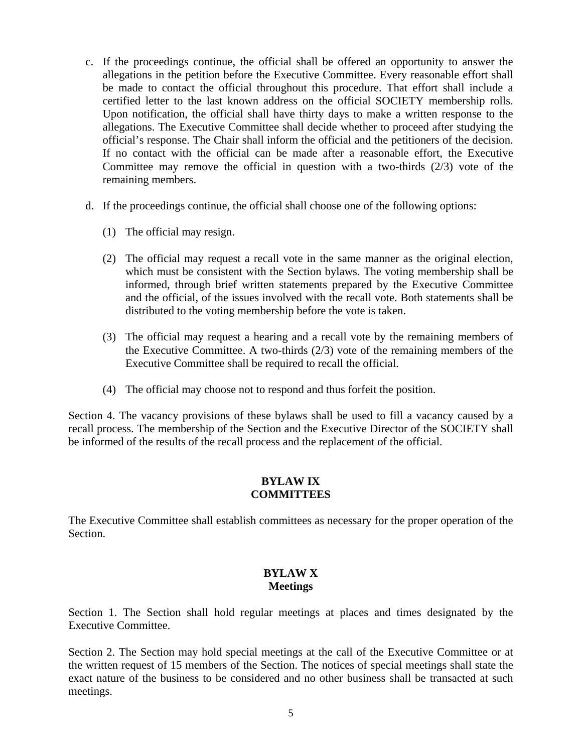- c. If the proceedings continue, the official shall be offered an opportunity to answer the allegations in the petition before the Executive Committee. Every reasonable effort shall be made to contact the official throughout this procedure. That effort shall include a certified letter to the last known address on the official SOCIETY membership rolls. Upon notification, the official shall have thirty days to make a written response to the allegations. The Executive Committee shall decide whether to proceed after studying the official's response. The Chair shall inform the official and the petitioners of the decision. If no contact with the official can be made after a reasonable effort, the Executive Committee may remove the official in question with a two-thirds (2/3) vote of the remaining members.
- d. If the proceedings continue, the official shall choose one of the following options:
	- (1) The official may resign.
	- (2) The official may request a recall vote in the same manner as the original election, which must be consistent with the Section bylaws. The voting membership shall be informed, through brief written statements prepared by the Executive Committee and the official, of the issues involved with the recall vote. Both statements shall be distributed to the voting membership before the vote is taken.
	- (3) The official may request a hearing and a recall vote by the remaining members of the Executive Committee. A two-thirds (2/3) vote of the remaining members of the Executive Committee shall be required to recall the official.
	- (4) The official may choose not to respond and thus forfeit the position.

Section 4. The vacancy provisions of these bylaws shall be used to fill a vacancy caused by a recall process. The membership of the Section and the Executive Director of the SOCIETY shall be informed of the results of the recall process and the replacement of the official.

# **BYLAW IX COMMITTEES**

The Executive Committee shall establish committees as necessary for the proper operation of the Section.

# **BYLAW X Meetings**

Section 1. The Section shall hold regular meetings at places and times designated by the Executive Committee.

Section 2. The Section may hold special meetings at the call of the Executive Committee or at the written request of 15 members of the Section. The notices of special meetings shall state the exact nature of the business to be considered and no other business shall be transacted at such meetings.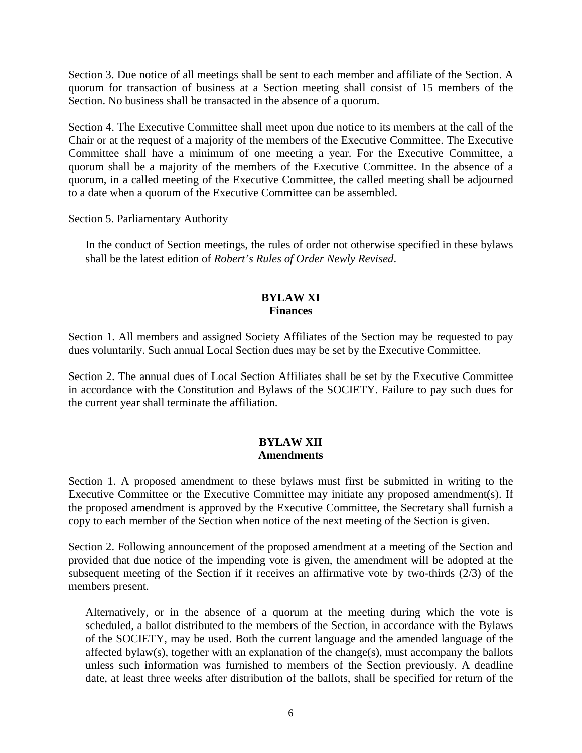Section 3. Due notice of all meetings shall be sent to each member and affiliate of the Section. A quorum for transaction of business at a Section meeting shall consist of 15 members of the Section. No business shall be transacted in the absence of a quorum.

Section 4. The Executive Committee shall meet upon due notice to its members at the call of the Chair or at the request of a majority of the members of the Executive Committee. The Executive Committee shall have a minimum of one meeting a year. For the Executive Committee, a quorum shall be a majority of the members of the Executive Committee. In the absence of a quorum, in a called meeting of the Executive Committee, the called meeting shall be adjourned to a date when a quorum of the Executive Committee can be assembled.

Section 5. Parliamentary Authority

In the conduct of Section meetings, the rules of order not otherwise specified in these bylaws shall be the latest edition of *Robert's Rules of Order Newly Revised*.

### **BYLAW XI Finances**

Section 1. All members and assigned Society Affiliates of the Section may be requested to pay dues voluntarily. Such annual Local Section dues may be set by the Executive Committee.

Section 2. The annual dues of Local Section Affiliates shall be set by the Executive Committee in accordance with the Constitution and Bylaws of the SOCIETY. Failure to pay such dues for the current year shall terminate the affiliation.

## **BYLAW XII Amendments**

Section 1. A proposed amendment to these bylaws must first be submitted in writing to the Executive Committee or the Executive Committee may initiate any proposed amendment(s). If the proposed amendment is approved by the Executive Committee, the Secretary shall furnish a copy to each member of the Section when notice of the next meeting of the Section is given.

Section 2. Following announcement of the proposed amendment at a meeting of the Section and provided that due notice of the impending vote is given, the amendment will be adopted at the subsequent meeting of the Section if it receives an affirmative vote by two-thirds (2/3) of the members present.

Alternatively, or in the absence of a quorum at the meeting during which the vote is scheduled, a ballot distributed to the members of the Section, in accordance with the Bylaws of the SOCIETY, may be used. Both the current language and the amended language of the affected bylaw(s), together with an explanation of the change(s), must accompany the ballots unless such information was furnished to members of the Section previously. A deadline date, at least three weeks after distribution of the ballots, shall be specified for return of the